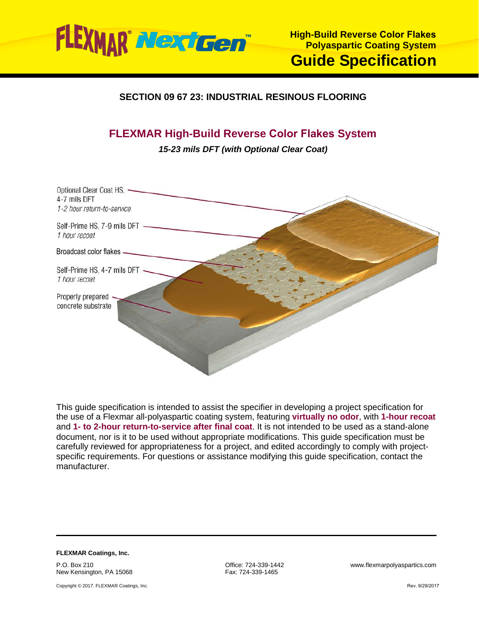

## **SECTION 09 67 23: INDUSTRIAL RESINOUS FLOORING**

# **FLEXMAR High-Build Reverse Color Flakes System**

*15-23 mils DFT (with Optional Clear Coat)*



This guide specification is intended to assist the specifier in developing a project specification for the use of a Flexmar all-polyaspartic coating system, featuring **virtually no odor**, with **1-hour recoat** and **1- to 2-hour return-to-service after final coat**. It is not intended to be used as a stand-alone document, nor is it to be used without appropriate modifications. This guide specification must be carefully reviewed for appropriateness for a project, and edited accordingly to comply with projectspecific requirements. For questions or assistance modifying this guide specification, contact the manufacturer.

**FLEXMAR Coatings, Inc.** P.O. Box 210 New Kensington, PA 15068

Copyright © 2017. FLEXMAR Coatings, Inc.

Fax: 724-339-1465

Office: 724-339-1442 www.flexmarpolyaspartics.com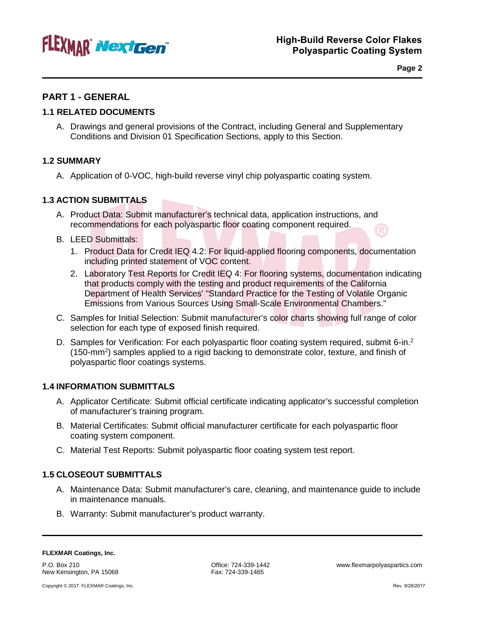

**Page 2**

## **PART 1 - GENERAL**

## **1.1 RELATED DOCUMENTS**

A. Drawings and general provisions of the Contract, including General and Supplementary Conditions and Division 01 Specification Sections, apply to this Section.

## **1.2 SUMMARY**

A. Application of 0-VOC, high-build reverse vinyl chip polyaspartic coating system.

## **1.3 ACTION SUBMITTALS**

- A. Product Data: Submit manufacturer's technical data, application instructions, and recommendations for each polyaspartic floor coating component required.
- B. LEED Submittals:
	- 1. Product Data for Credit IEQ 4.2: For liquid-applied flooring components, documentation including printed statement of VOC content.
	- 2. Laboratory Test Reports for Credit IEQ 4: For flooring systems, documentation indicating that products comply with the testing and product requirements of the California Department of Health Services' "Standard Practice for the Testing of Volatile Organic Emissions from Various Sources Using Small-Scale Environmental Chambers."
- C. Samples for Initial Selection: Submit manufacturer's color charts showing full range of color selection for each type of exposed finish required.
- D. Samples for Verification: For each polyaspartic floor coating system required, submit 6-in.<sup>2</sup> (150-mm<sup>2</sup>) samples applied to a rigid backing to demonstrate color, texture, and finish of polyaspartic floor coatings systems.

## **1.4 INFORMATION SUBMITTALS**

- A. Applicator Certificate: Submit official certificate indicating applicator's successful completion of manufacturer's training program.
- B. Material Certificates: Submit official manufacturer certificate for each polyaspartic floor coating system component.
- C. Material Test Reports: Submit polyaspartic floor coating system test report.

## **1.5 CLOSEOUT SUBMITTALS**

- A. Maintenance Data: Submit manufacturer's care, cleaning, and maintenance guide to include in maintenance manuals.
- B. Warranty: Submit manufacturer's product warranty.

P.O. Box 210 New Kensington, PA 15068 Fax: 724-339-1465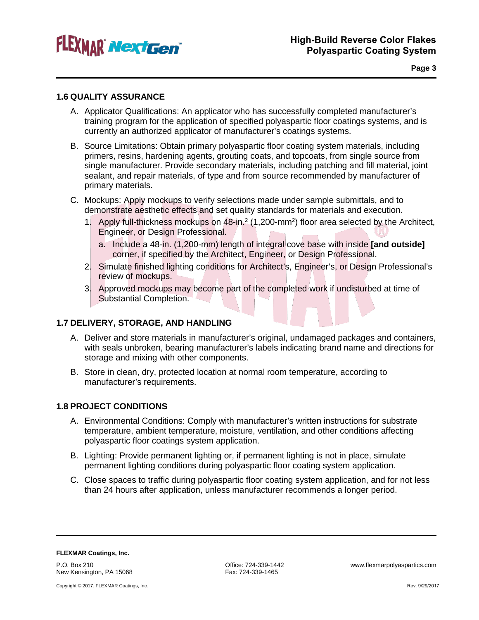

**Page 3**

## **1.6 QUALITY ASSURANCE**

- A. Applicator Qualifications: An applicator who has successfully completed manufacturer's training program for the application of specified polyaspartic floor coatings systems, and is currently an authorized applicator of manufacturer's coatings systems.
- B. Source Limitations: Obtain primary polyaspartic floor coating system materials, including primers, resins, hardening agents, grouting coats, and topcoats, from single source from single manufacturer. Provide secondary materials, including patching and fill material, joint sealant, and repair materials, of type and from source recommended by manufacturer of primary materials.
- C. Mockups: Apply mockups to verify selections made under sample submittals, and to demonstrate aesthetic effects and set quality standards for materials and execution.
	- 1. Apply full-thickness mockups on 48-in.<sup>2</sup> (1,200-mm<sup>2</sup>) floor area selected by the Architect, Engineer, or Design Professional.
		- a. Include a 48-in. (1,200-mm) length of integral cove base with inside **[and outside]** corner, if specified by the Architect, Engineer, or Design Professional.
	- 2. Simulate finished lighting conditions for Architect's, Engineer's, or Design Professional's review of mockups.
	- 3. Approved mockups may become part of the completed work if undisturbed at time of Substantial Completion.

## **1.7 DELIVERY, STORAGE, AND HANDLING**

- A. Deliver and store materials in manufacturer's original, undamaged packages and containers, with seals unbroken, bearing manufacturer's labels indicating brand name and directions for storage and mixing with other components.
- B. Store in clean, dry, protected location at normal room temperature, according to manufacturer's requirements.

### **1.8 PROJECT CONDITIONS**

- A. Environmental Conditions: Comply with manufacturer's written instructions for substrate temperature, ambient temperature, moisture, ventilation, and other conditions affecting polyaspartic floor coatings system application.
- B. Lighting: Provide permanent lighting or, if permanent lighting is not in place, simulate permanent lighting conditions during polyaspartic floor coating system application.
- C. Close spaces to traffic during polyaspartic floor coating system application, and for not less than 24 hours after application, unless manufacturer recommends a longer period.

**FLEXMAR Coatings, Inc.** P.O. Box 210 New Kensington, PA 15068

Fax: 724-339-1465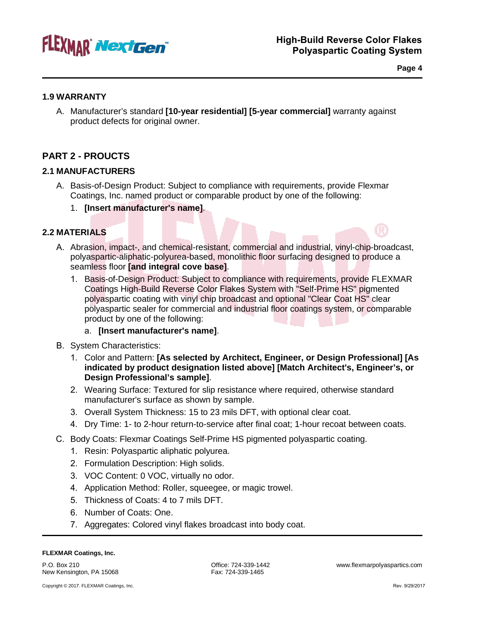

**Page 4**

## **1.9 WARRANTY**

A. Manufacturer's standard **[10-year residential] [5-year commercial]** warranty against product defects for original owner.

## **PART 2 - PROUCTS**

## **2.1 MANUFACTURERS**

- A. Basis-of-Design Product: Subject to compliance with requirements, provide Flexmar Coatings, Inc. named product or comparable product by one of the following:
	- 1. **[Insert manufacturer's name]**.

## **2.2 MATERIALS**

- A. Abrasion, impact-, and chemical-resistant, commercial and industrial, vinyl-chip-broadcast, polyaspartic-aliphatic-polyurea-based, monolithic floor surfacing designed to produce a seamless floor **[and integral cove base]**.
	- 1. Basis-of-Design Product: Subject to compliance with requirements, provide FLEXMAR Coatings High-Build Reverse Color Flakes System with "Self-Prime HS" pigmented polyaspartic coating with vinyl chip broadcast and optional "Clear Coat HS" clear polyaspartic sealer for commercial and industrial floor coatings system, or comparable product by one of the following:

## a. **[Insert manufacturer's name]**.

- B. System Characteristics:
	- 1. Color and Pattern: **[As selected by Architect, Engineer, or Design Professional] [As indicated by product designation listed above] [Match Architect's, Engineer's, or Design Professional's sample]**.
	- 2. Wearing Surface: Textured for slip resistance where required, otherwise standard manufacturer's surface as shown by sample.
	- 3. Overall System Thickness: 15 to 23 mils DFT, with optional clear coat.
	- 4. Dry Time: 1- to 2-hour return-to-service after final coat; 1-hour recoat between coats.
- C. Body Coats: Flexmar Coatings Self-Prime HS pigmented polyaspartic coating.
	- 1. Resin: Polyaspartic aliphatic polyurea.
	- 2. Formulation Description: High solids.
	- 3. VOC Content: 0 VOC, virtually no odor.
	- 4. Application Method: Roller, squeegee, or magic trowel.
	- 5. Thickness of Coats: 4 to 7 mils DFT.
	- 6. Number of Coats: One.
	- 7. Aggregates: Colored vinyl flakes broadcast into body coat.

#### **FLEXMAR Coatings, Inc.**

P.O. Box 210 New Kensington, PA 15068 Office: 724-339-1442 www.flexmarpolyaspartics.com Fax: 724-339-1465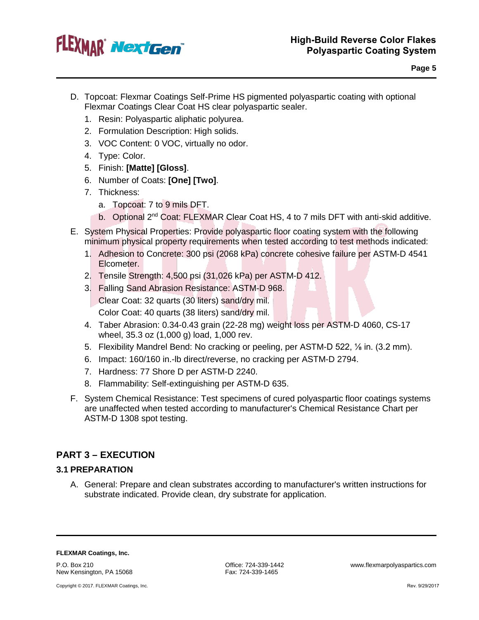

- D. Topcoat: Flexmar Coatings Self-Prime HS pigmented polyaspartic coating with optional Flexmar Coatings Clear Coat HS clear polyaspartic sealer.
	- 1. Resin: Polyaspartic aliphatic polyurea.
	- 2. Formulation Description: High solids.
	- 3. VOC Content: 0 VOC, virtually no odor.
	- 4. Type: Color.
	- 5. Finish: **[Matte] [Gloss]**.
	- 6. Number of Coats: **[One] [Two]**.
	- 7. Thickness:
		- a. Topcoat: 7 to 9 mils DFT.
		- b. Optional 2<sup>nd</sup> Coat: FLEXMAR Clear Coat HS, 4 to 7 mils DFT with anti-skid additive.
- E. System Physical Properties: Provide polyaspartic floor coating system with the following minimum physical property requirements when tested according to test methods indicated:
	- 1. Adhesion to Concrete: 300 psi (2068 kPa) concrete cohesive failure per ASTM-D 4541 Elcometer.
	- 2. Tensile Strength: 4,500 psi (31,026 kPa) per ASTM-D 412.
	- 3. Falling Sand Abrasion Resistance: ASTM-D 968. Clear Coat: 32 quarts (30 liters) sand/dry mil. Color Coat: 40 quarts (38 liters) sand/dry mil.
	- 4. Taber Abrasion: 0.34-0.43 grain (22-28 mg) weight loss per ASTM-D 4060, CS-17 wheel, 35.3 oz (1,000 g) load, 1,000 rev.
	- 5. Flexibility Mandrel Bend: No cracking or peeling, per ASTM-D 522, ⅛ in. (3.2 mm).
	- 6. Impact: 160/160 in.-lb direct/reverse, no cracking per ASTM-D 2794.
	- 7. Hardness: 77 Shore D per ASTM-D 2240.
	- 8. Flammability: Self-extinguishing per ASTM-D 635.
- F. System Chemical Resistance: Test specimens of cured polyaspartic floor coatings systems are unaffected when tested according to manufacturer's Chemical Resistance Chart per ASTM-D 1308 spot testing.

## **PART 3 – EXECUTION**

## **3.1 PREPARATION**

A. General: Prepare and clean substrates according to manufacturer's written instructions for substrate indicated. Provide clean, dry substrate for application.

**FLEXMAR Coatings, Inc.**

P.O. Box 210 New Kensington, PA 15068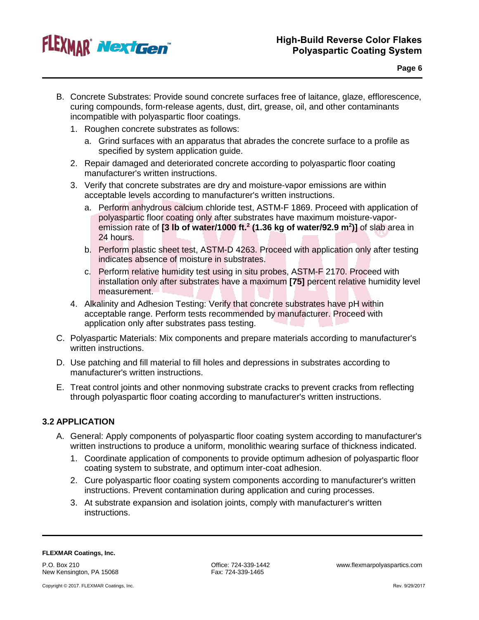

- B. Concrete Substrates: Provide sound concrete surfaces free of laitance, glaze, efflorescence, curing compounds, form-release agents, dust, dirt, grease, oil, and other contaminants incompatible with polyaspartic floor coatings.
	- 1. Roughen concrete substrates as follows:
		- a. Grind surfaces with an apparatus that abrades the concrete surface to a profile as specified by system application guide.
	- 2. Repair damaged and deteriorated concrete according to polyaspartic floor coating manufacturer's written instructions.
	- 3. Verify that concrete substrates are dry and moisture-vapor emissions are within acceptable levels according to manufacturer's written instructions.
		- a. Perform anhydrous calcium chloride test, ASTM-F 1869. Proceed with application of polyaspartic floor coating only after substrates have maximum moisture-vaporemission rate of **[3 lb of water/1000 ft.2 (1.36 kg of water/92.9 m2 )]** of slab area in 24 hours.
		- b. Perform plastic sheet test, ASTM-D 4263. Proceed with application only after testing indicates absence of moisture in substrates.
		- c. Perform relative humidity test using in situ probes, ASTM-F 2170. Proceed with installation only after substrates have a maximum **[75]** percent relative humidity level measurement.
	- 4. Alkalinity and Adhesion Testing: Verify that concrete substrates have pH within acceptable range. Perform tests recommended by manufacturer. Proceed with application only after substrates pass testing.
- C. Polyaspartic Materials: Mix components and prepare materials according to manufacturer's written instructions.
- D. Use patching and fill material to fill holes and depressions in substrates according to manufacturer's written instructions.
- E. Treat control joints and other nonmoving substrate cracks to prevent cracks from reflecting through polyaspartic floor coating according to manufacturer's written instructions.

## **3.2 APPLICATION**

- A. General: Apply components of polyaspartic floor coating system according to manufacturer's written instructions to produce a uniform, monolithic wearing surface of thickness indicated.
	- 1. Coordinate application of components to provide optimum adhesion of polyaspartic floor coating system to substrate, and optimum inter-coat adhesion.
	- 2. Cure polyaspartic floor coating system components according to manufacturer's written instructions. Prevent contamination during application and curing processes.
	- 3. At substrate expansion and isolation joints, comply with manufacturer's written instructions.

#### **FLEXMAR Coatings, Inc.**

P.O. Box 210 New Kensington, PA 15068

Copyright © 2017. FLEXMAR Coatings, Inc.

Fax: 724-339-1465